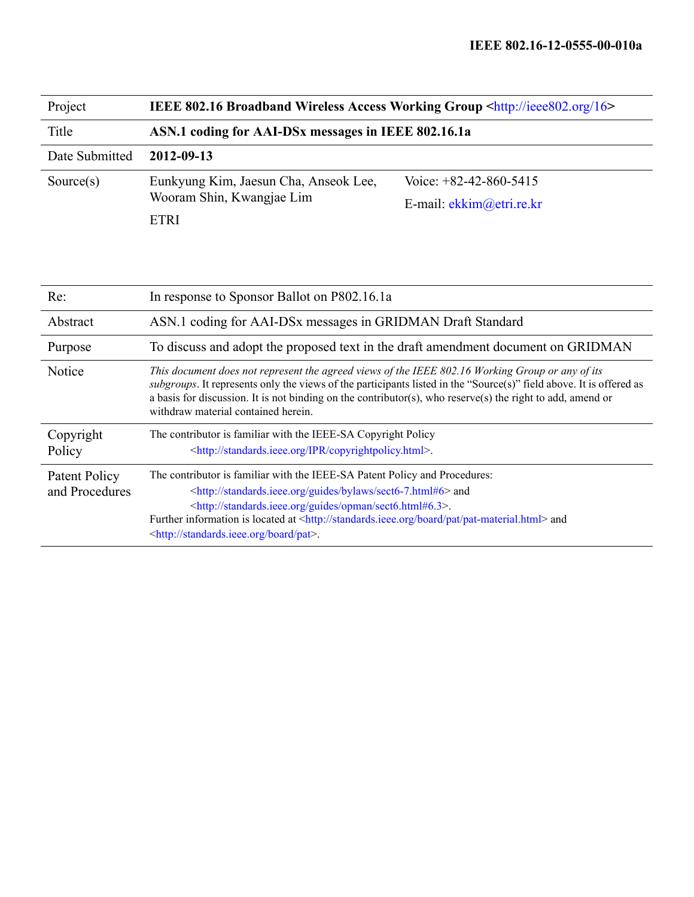| Project        | <b>IEEE 802.16 Broadband Wireless Access Working Group <http: 16="" ieee802.org=""></http:></b> |                            |  |
|----------------|-------------------------------------------------------------------------------------------------|----------------------------|--|
| Title          | ASN.1 coding for AAI-DSx messages in IEEE 802.16.1a                                             |                            |  |
| Date Submitted | 2012-09-13                                                                                      |                            |  |
| Source $(s)$   | Eunkyung Kim, Jaesun Cha, Anseok Lee,<br>Wooram Shin, Kwangjae Lim                              | Voice: $+82-42-860-5415$   |  |
|                |                                                                                                 | E-mail: $ekkim@etri.re.kr$ |  |
|                | ETRI                                                                                            |                            |  |

| Re:                             | In response to Sponsor Ballot on P802.16.1a                                                                                                                                                                                                                                                                                                                                                                                   |  |
|---------------------------------|-------------------------------------------------------------------------------------------------------------------------------------------------------------------------------------------------------------------------------------------------------------------------------------------------------------------------------------------------------------------------------------------------------------------------------|--|
| Abstract                        | ASN.1 coding for AAI-DSx messages in GRIDMAN Draft Standard                                                                                                                                                                                                                                                                                                                                                                   |  |
| Purpose                         | To discuss and adopt the proposed text in the draft amendment document on GRIDMAN                                                                                                                                                                                                                                                                                                                                             |  |
| <b>Notice</b>                   | This document does not represent the agreed views of the IEEE 802.16 Working Group or any of its<br>subgroups. It represents only the views of the participants listed in the "Source(s)" field above. It is offered as<br>a basis for discussion. It is not binding on the contributor(s), who reserve(s) the right to add, amend or<br>withdraw material contained herein.                                                  |  |
| Copyright<br>Policy             | The contributor is familiar with the IEEE-SA Copyright Policy<br><http: copyrightpolicy.html="" ipr="" standards.ieee.org="">.</http:>                                                                                                                                                                                                                                                                                        |  |
| Patent Policy<br>and Procedures | The contributor is familiar with the IEEE-SA Patent Policy and Procedures:<br><http: bylaws="" guides="" sect6-7.html#6="" standards.ieee.org=""> and<br/><http: guides="" opman="" sect6.html#6.3="" standards.ieee.org="">.<br/>Further information is located at <http: board="" pat="" pat-material.html="" standards.ieee.org=""> and<br/><http: board="" pat="" standards.ieee.org="">.</http:></http:></http:></http:> |  |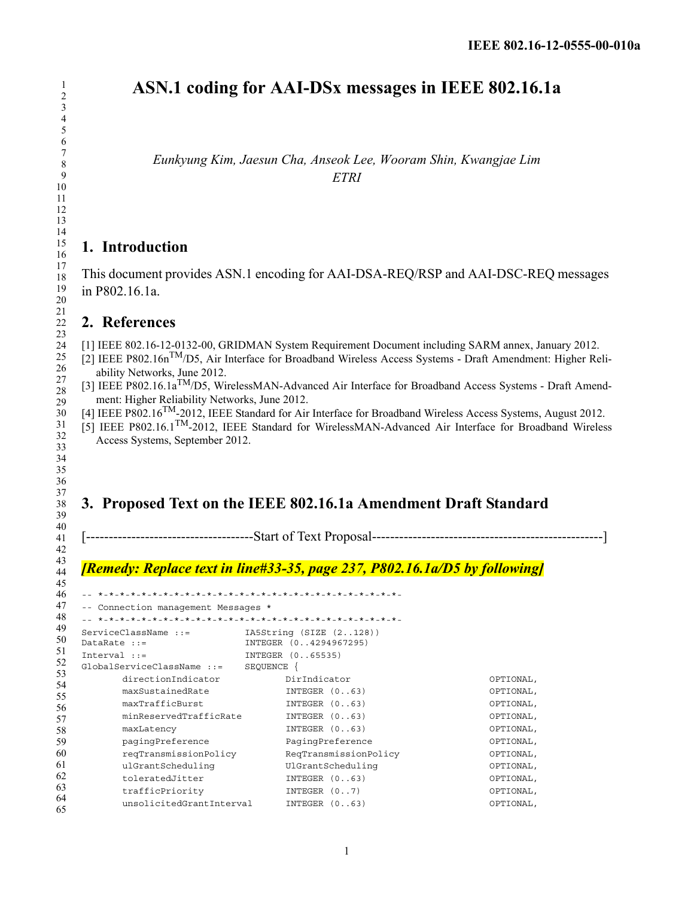# **ASN.1 coding for AAI-DSx messages in IEEE 802.16.1a**

*Eunkyung Kim, Jaesun Cha, Anseok Lee, Wooram Shin, Kwangjae Lim ETRI*

## **1. Introduction**

This document provides ASN.1 encoding for AAI-DSA-REQ/RSP and AAI-DSC-REQ messages in P802.16.1a.

### **2. References**

[1] IEEE 802.16-12-0132-00, GRIDMAN System Requirement Document including SARM annex, January 2012.

- [2] IEEE P802.16n<sup>TM</sup>/D5, Air Interface for Broadband Wireless Access Systems Draft Amendment: Higher Reliability Networks, June 2012.
- [3] IEEE P802.16.1a<sup>TM</sup>/D5, WirelessMAN-Advanced Air Interface for Broadband Access Systems Draft Amendment: Higher Reliability Networks, June 2012.
- [4] IEEE P802.16TM-2012, IEEE Standard for Air Interface for Broadband Wireless Access Systems, August 2012.
- [5] IEEE P802.16.1TM-2012, IEEE Standard for WirelessMAN-Advanced Air Interface for Broadband Wireless Access Systems, September 2012.

# **3. Proposed Text on the IEEE 802.16.1a Amendment Draft Standard**

[-------------------------------------Start of Text Proposal---------------------------------------------------]

## *[Remedy: Replace text in line#33-35, page 237, P802.16.1a/D5 by following]*

```
46
47
48
49
50
51
52
53
54
55
56
57
58
59
60
61
62
63
64
65
   -- *-*-*-*-*-*-*-*-*-*-*-*-*-*-*-*-*-*-*-*-*-*-*-*-*-*-*-*-
   -- Connection management Messages *
   -- *-*-*-*-*-*-*-*-*-*-*-*-*-*-*-*-*-*-*-*-*-*-*-*-*-*-*-*-
  ServiceClassName ::= IA5String (SIZE (2..128)) 
                         INTEGER (0..4294967295)
  Interval ::= INTEGER (0..65535)
   GlobalServiceClassName ::= SEQUENCE {
        directionIndicator DirIndicator OPTIONAL, 
        maxSustainedRate INTEGER (0..63) OPTIONAL, 
        maxTrafficBurst INTEGER (0..63) OPTIONAL, 
        minReservedTrafficRate INTEGER (0..63)    QPTIONAL,
        maxLatency INTEGER (0..63) OPTIONAL,
       pagingPreference PagingPreference OPTIONAL, 
       reqTransmissionPolicy ReqTransmissionPolicy OPTIONAL, 
        reqTransmissionPolicy     ReqTransmissionPolicy          OPTIONAL,<br>ulGrantScheduling       UlGrantScheduling           OPTIONAL,
        toleratedJitter INTEGER (0..63) OPTIONAL, 
       trafficPriority INTEGER (0..7) OPTIONAL, 
        unsolicitedGrantInterval INTEGER (0..63) OPTIONAL,
```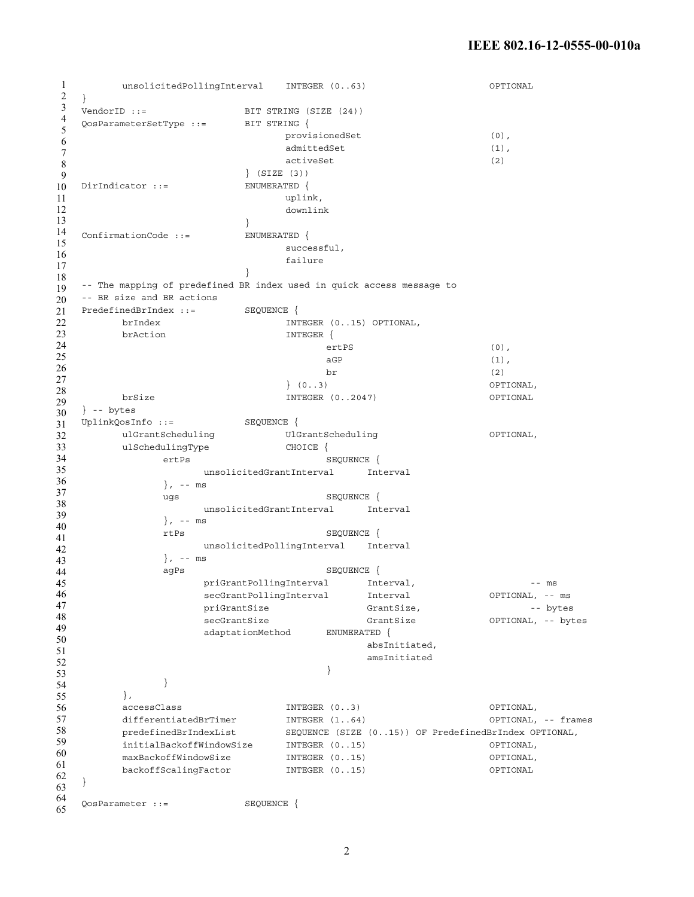```
1
2
3
4
5
6
7
8
9
10
11
12
13
14
15
16
17
18
19
20
21
22
23
24
25
26
27
28
29
30
31
32
33
34
35
36
37
38
39
40
41
42
43
44
45
46
47
48
49
50
51
52
53
54
55
56
57
58
59
60
61
62
63
64
65
       unsolicitedPollingInterval INTEGER (0..63) OPTIONAL
  } 
   VendorID ::= BIT STRING (SIZE (24))
   QosParameterSetType ::= BIT STRING { 
                              provisionedSet (0),
                               admittedSet (1),
                               activeSet (2) 
                         } (SIZE (3)) 
  DirIndicator ::= ENUMERATED {
                              uplink, 
                              downlink 
                         } 
  ConfirmationCode ::= ENUMERATED { 
                               successful, 
                               failure 
                         } 
   -- The mapping of predefined BR index used in quick access message to
   -- BR size and BR actions
  PredefinedBrIndex ::= SEQUENCE { 
       brIndex INTEGER (0..15) OPTIONAL, 
        brAction INTEGER {
                                    ertPS (0), 
                                    aGP (1),
                                    br \t\t(2)} (0..3) OPTIONAL, 
       brSize INTEGER (0..2047) OPTIONAL
  } -- bytes 
  UplinkQosInfo ::= SEQUENCE { 
       ulGrantScheduling UlGrantScheduling OPTIONAL, 
        ulSchedulingType CHOICE {
             ertPs SEQUENCE {
                   unsolicitedGrantInterval Interval 
              }, - - ms
              ugs SEQUENCE { 
                   unsolicitedGrantInterval Interval
              }, -- ms 
              rtPs SEQUENCE { 
                   unsolicitedPollingInterval Interval 
              }, -- ms 
              aqPs SEQUENCE {
                   priGrantPollingInterval Interval, \qquad \qquad \text{--} \text{ms}secGrantPollingInterval Interval OPTIONAL, -- ms
                   priGrantSize GrantSize, GrantSize, and the set of the set of the set of the set of the set of the set of the s
                    secGrantSize GrantSize GrantSize OPTIONAL, -- bytes
                    adaptationMethod ENUMERATED { 
                                         absInitiated, 
                                          amsInitiated 
                                    } 
              } 
        }, 
        accessClass INTEGER (0..3) OPTIONAL, 
         differentiatedBrTimer INTEGER (1..64) OPTIONAL, -- frames 
         predefinedBrIndexList SEQUENCE (SIZE (0..15)) OF PredefinedBrIndex OPTIONAL, 
        initialBackoffWindowSize INTEGER (0..15) OPTIONAL, 
        maxBackoffWindowSize INTEGER (0..15) OPTIONAL, 
        backoffScalingFactor INTEGER (0..15) OPTIONAL
   } 
   QosParameter ::= SEQUENCE {
```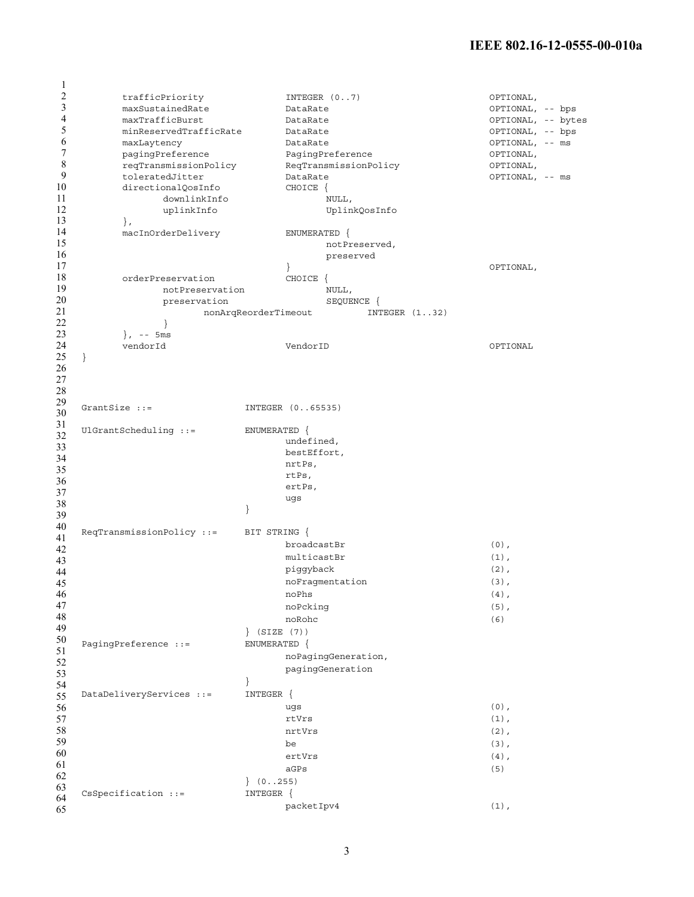| 1      |                           |                                         |                    |
|--------|---------------------------|-----------------------------------------|--------------------|
| 2      | trafficPriority           | INTEGER $(07)$                          | OPTIONAL,          |
| 3      | maxSustainedRate          | DataRate                                | OPTIONAL, -- bps   |
| 4      | maxTrafficBurst           | DataRate                                | OPTIONAL, -- bytes |
| 5      | minReservedTrafficRate    | DataRate                                | OPTIONAL, -- bps   |
| 6      | maxLaytency               | DataRate                                | OPTIONAL, -- ms    |
| 7      |                           |                                         |                    |
|        | pagingPreference          | PagingPreference                        | OPTIONAL,          |
| 8      | reqTransmissionPolicy     | ReqTransmissionPolicy                   | OPTIONAL,          |
| 9      | toleratedJitter           | DataRate                                | OPTIONAL, -- ms    |
| 10     | directionalQosInfo        | CHOICE {                                |                    |
| 11     | downlinkInfo              | NULL,                                   |                    |
| 12     | uplinkInfo                | UplinkQosInfo                           |                    |
| 13     | $\}$ ,                    |                                         |                    |
| 14     | macInOrderDelivery        | ENUMERATED {                            |                    |
| 15     |                           | notPreserved,                           |                    |
| 16     |                           |                                         |                    |
|        |                           | preserved                               |                    |
| 17     |                           |                                         | OPTIONAL,          |
| 18     | orderPreservation         | CHOICE {                                |                    |
| 19     | notPreservation           | NULL,                                   |                    |
| 20     | preservation              | SEQUENCE {                              |                    |
| 21     |                           | nonArqReorderTimeout<br>INTEGER $(132)$ |                    |
| 22     | <sup>}</sup>              |                                         |                    |
| 23     | $\}$ , -- 5ms             |                                         |                    |
| 24     | vendorId                  | VendorID                                | OPTIONAL           |
|        |                           |                                         |                    |
| 25     | $\big\}$                  |                                         |                    |
| 26     |                           |                                         |                    |
| 27     |                           |                                         |                    |
| 28     |                           |                                         |                    |
| 29     | GrantSize $::=$           | INTEGER (065535)                        |                    |
| 30     |                           |                                         |                    |
| 31     |                           |                                         |                    |
| 32     | $UIGrant Scheduling ::=$  | ENUMERATED {                            |                    |
| 33     |                           | undefined,                              |                    |
| 34     |                           | bestEffort,                             |                    |
| 35     |                           | nrtPs,                                  |                    |
|        |                           | rtPs,                                   |                    |
| 36     |                           | ertPs,                                  |                    |
| 37     |                           | ugs                                     |                    |
| 38     |                           | <sup>}</sup>                            |                    |
| 39     |                           |                                         |                    |
| 40     | ReqTransmissionPolicy ::= | BIT STRING {                            |                    |
| 41     |                           |                                         |                    |
| 42     |                           | broadcastBr                             | $(0)$ ,            |
| 43     |                           | multicastBr                             | $(1)$ ,            |
| 44     |                           | piggyback                               | $(2)$ ,            |
| $45\,$ |                           | noFragmentation                         | $(3)$ ,            |
| 46     |                           | noPhs                                   | $(4)$ ,            |
| 47     |                           | noPcking                                | $(5)$ ,            |
|        |                           |                                         |                    |
| 48     |                           | noRohc                                  | (6)                |
| 49     |                           | $\}$ (SIZE $(7)$ )                      |                    |
| 50     | PagingPreference ::=      | ENUMERATED {                            |                    |
| 51     |                           | noPagingGeneration,                     |                    |
| 52     |                           | pagingGeneration                        |                    |
| 53     |                           |                                         |                    |
| 54     |                           |                                         |                    |
| 55     | DataDeliveryServices ::=  | INTEGER {                               |                    |
| 56     |                           | ugs                                     | $(0)$ ,            |
| 57     |                           | rtVrs                                   | $(1)$ ,            |
| 58     |                           |                                         |                    |
|        |                           | nrtVrs                                  | $(2)$ ,            |
| 59     |                           | be                                      | $(3)$ ,            |
| 60     |                           | ertVrs                                  | $(4)$ ,            |
| 61     |                           | aGPs                                    | (5)                |
| 62     |                           | (0255)                                  |                    |
| 63     |                           | INTEGER {                               |                    |
| 64     | CsSpecification ::=       |                                         |                    |
| 65     |                           | packetIpv4                              | $(1)$ ,            |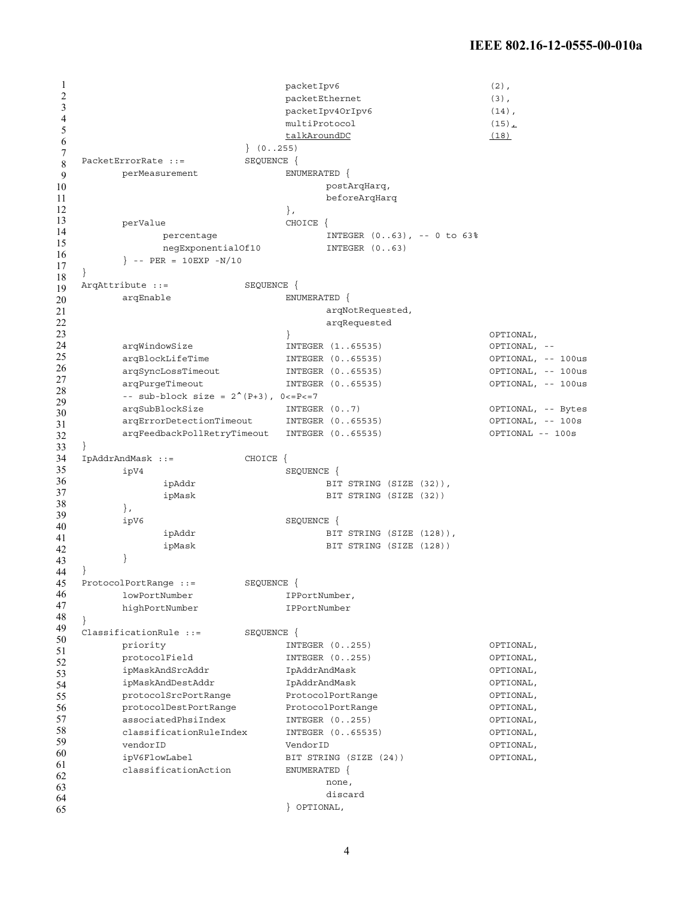1 2 3 4 5 6 7 8 9 10 11 12 13 14 15 16 17 18 19 20 21 22 23 24 25 26 27 28 29 30 31 32 33 34 35 36 37 38 39 40 41 42 43 44 45 46 47 48 49 50 51 52 53 54 55 56 57 58 59 60 61 62 63 64 65 packetIpv6 (2), packetEthernet (3), packetIpv4OrIpv6 (14), multiProtocol (15), talkAroundDC (18) } (0..255) PacketErrorRate ::= SEQUENCE { perMeasurement ENUMERATED { postArqHarq, beforeArqHarq }, perValue CHOICE { percentage INTEGER (0..63), -- 0 to 63% negExponentialOf10 INTEGER (0..63)  $\}$  -- PER = 10EXP -N/10 } ArqAttribute ::= SEQUENCE { arqEnable ENUMERATED { arqNotRequested, arqRequested } OPTIONAL, arqWindowSize INTEGER (1..65535) OPTIONAL, - arqBlockLifeTime INTEGER (0..65535) OPTIONAL, -- 100us arqSyncLossTimeout INTEGER (0..65535) OPTIONAL, -- 100us arqPurgeTimeout INTEGER (0..65535) OPTIONAL, -- 100us --  $sub-block size = 2^(P+3), 0<=P<=7$ arqSubBlockSize INTEGER (0..7) OPTIONAL, -- Bytes arqErrorDetectionTimeout INTEGER (0..65535) OPTIONAL, -- 100s arqFeedbackPollRetryTimeout INTEGER (0..65535) OPTIONAL -- 100s } IpAddrAndMask ::= CHOICE { ipV4 SEQUENCE { ipAddr BIT STRING (SIZE (32)), ipMask BIT STRING (SIZE (32)) }, ipV6 SEQUENCE { ipAddr BIT STRING (SIZE (128)), ipMask BIT STRING (SIZE (128)) } } ProtocolPortRange ::= SEQUENCE { lowPortNumber IPPortNumber, highPortNumber IPPortNumber } ClassificationRule ::= SEQUENCE { priority  $NTEGER (0.255)$  OPTIONAL, protocolField INTEGER (0..255) OPTIONAL, ipMaskAndSrcAddr IpAddrAndMask OPTIONAL, ipMaskAndDestAddr IpAddrAndMask OPTIONAL, protocolSrcPortRange ProtocolPortRange OPTIONAL, protocolDestPortRange ProtocolPortRange OPTIONAL, associatedPhsiIndex INTEGER (0..255) OPTIONAL, classificationRuleIndex INTEGER (0..65535) OPTIONAL, vendorID VendorID OPTIONAL, ipV6FlowLabel BIT STRING (SIZE (24)) OPTIONAL, classificationAction ENUMERATED { none, discard } OPTIONAL,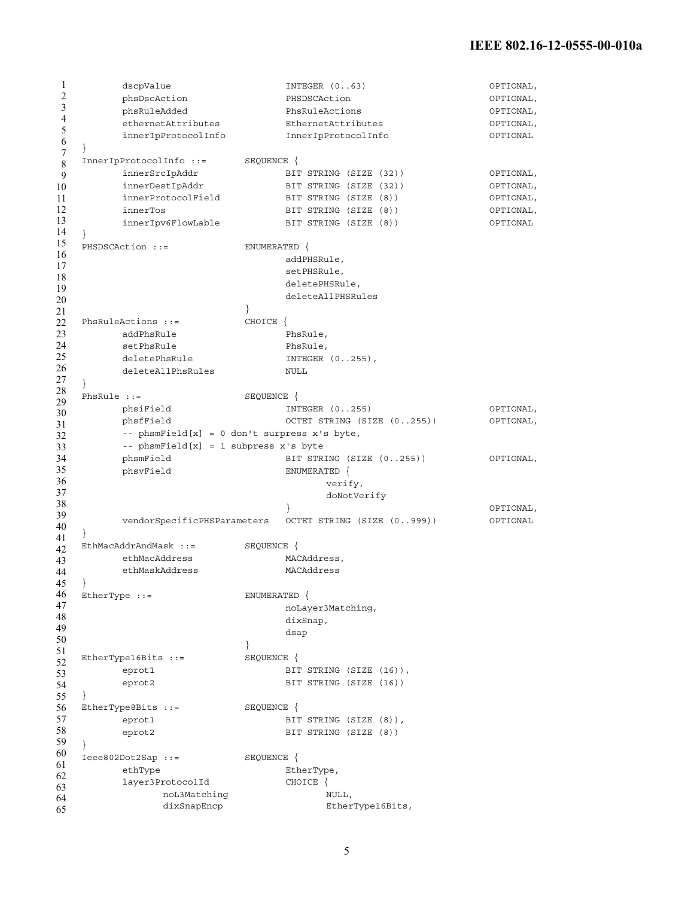```
1
2
3
4
5
6
7
8
9
10
11
12
13
14
15
16
17
18
19
20
21
22
23
24
25
26
27
28
29
30
31
32
33
34
35
36
37
38
39
40
41
42
EthMacAddrAndMask ::= SEQUENCE { 
43
44
45
46
47
48
49
50
51
52
53
54
55
56
EtherType8Bits ::= SEQUENCE { 
57
58
59
60
61
62
63
64
65
        dscpValue INTEGER (0..63) OPTIONAL, 
       phsDscAction PHSDSCAction OPTIONAL, 
       phsRuleAdded PhsRuleActions OPTIONAL, 
        ethernetAttributes EthernetAttributes OPTIONAL, 
        innerIpProtocolInfo InnerIpProtocolInfo OPTIONAL
   } 
  InnerIpProtocolInfo ::= SEQUENCE { 
        innerSrcIpAddr BIT STRING (SIZE (32)) OPTIONAL, 
        innerDestIpAddr BIT STRING (SIZE (32)) OPTIONAL, 
        innerProtocolField BIT STRING (SIZE (8)) OPTIONAL, 
        innerTos BIT STRING (SIZE (8)) OPTIONAL, 
       innerIpv6FlowLable BIT STRING (SIZE (8)) OPTIONAL
   } 
  PHSDSCAction ::= ENUMERATED {
                             addPHSRule, 
                             setPHSRule, 
                             deletePHSRule, 
                             deleteAllPHSRules 
                        } 
  PhsRuleActions ::= CHOICE {
    addPhsRule PhsRule,
        setPhsRule PhsRule,
        deletePhsRule INTEGER (0..255),
        deleteAllPhsRules NULL
  } 
  PhsRule ::= SEQUENCE {<br>phsiField \begin{array}{ccc} \texttt{INT} \end{array}INTEGER (0..255) OPTIONAL,
       phsfField OCTET STRING (SIZE (0..255)) OPTIONAL, 
       -- phsmField[x] = 0 don't surpress x's byte, 
       -- phsmField[x] = 1 subpress x's byte 
       phsmField BIT STRING (SIZE (0..255)) OPTIONAL, 
        phsvField ENUMERATED { 
                                 verify, 
                                  doNotVerify 
                             } OPTIONAL, 
        vendorSpecificPHSParameters OCTET STRING (SIZE (0..999)) OPTIONAL
   } 
  ethMacAddress MACAddress.
       ethMaskAddress MACAddress
  } 
  EtherType ::= ENUMERATED { 
                            noLayer3Matching, 
                             dixSnap, 
                             dsap 
                        } 
  EtherType16Bits ::= SEQUENCE {
        eprot1 BIT STRING (SIZE (16)),
        eprot2 BIT STRING (SIZE (16))
  } 
   eprot1 BIT STRING (SIZE (8)),
        eprot2 BIT STRING (SIZE (8))
  } 
  Ieee802Dot2Sap ::= SEQUENCE { 
        ethType EtherType,
        layer3ProtocolId CHOICE { 
             noL3Matching NULL,
             dixSnapEncp EtherType16Bits,
```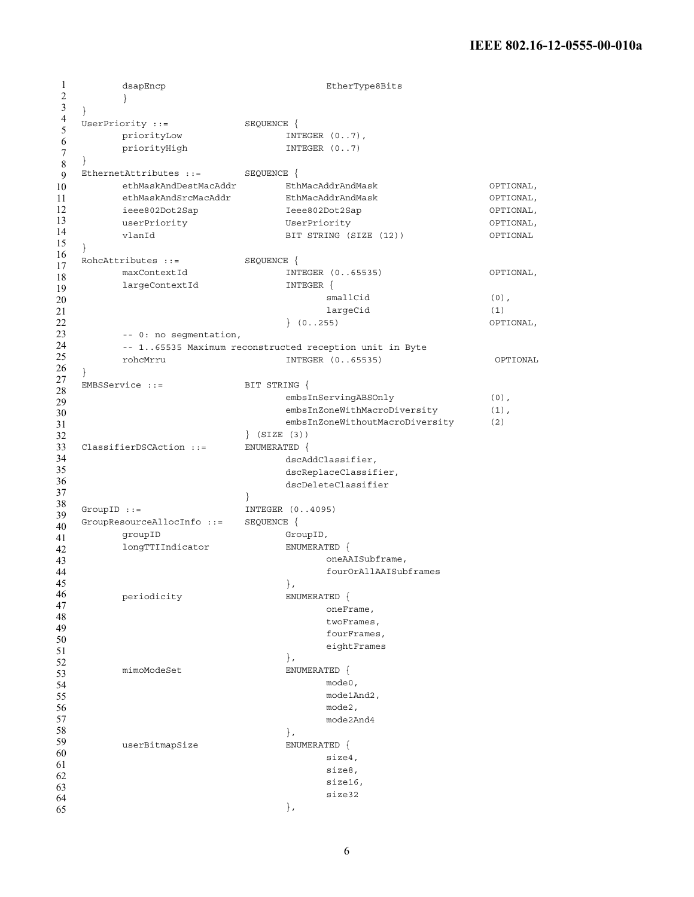```
1
2
3
4
5
6
7
8
9
10
11
12
13
14
15
16
17
18
19
20
21
22
23
24
25
26
27
28
29
30
31
32
33
34
35
36
37
38
39
40
41
42
43
44
45
46
47
48
49
50
51
52
53
54
55
56
57
58
59
60
61
62
63
64
65
         dsapEncp extension of the extending the EtherType8Bits
         }
   } 
   UserPriority ::= SEQUENCE {
         priorityLow INTEGER (0..7),
         priorityHigh INTEGER (0..7)
   } 
   EthernetAttributes ::= SEQUENCE { 
         ethMaskAndDestMacAddr EthMacAddrAndMask OPTIONAL, 
         ethMaskAndSrcMacAddr EthMacAddrAndMask OPTIONAL, 
         ieee802Dot2Sap Ieee802Dot2Sap OPTIONAL, 
         userPriority UserPriority UserPriority OPTIONAL,
         vlanId BIT STRING (SIZE (12)) OPTIONAL
   } 
   RohcAttributes ::= SEQUENCE { 
         maxContextId INTEGER (0..65535) OPTIONAL, 
         largeContextId INTEGER {
                                      smallCid (0),
                                      largeCid (1) 
                                } (0..255) OPTIONAL, 
         -- 0: no segmentation, 
         -- 1..65535 Maximum reconstructed reception unit in Byte 
         rohcMrru INTEGER (0..65535) OPTIONAL
   } 
   EMBSService ::= BIT STRING {
                                embsInServingABSOnly (0),
                                embsInZoneWithMacroDiversity (1),
                                embsInZoneWithoutMacroDiversity (2)
                          } (SIZE (3)) 
   ClassifierDSCAction ::= ENUMERATED { 
                                dscAddClassifier, 
                                dscReplaceClassifier, 
                                dscDeleteClassifier 
                          } 
   GroupID ::= INTEGER (0..4095)
   GroupResourceAllocInfo ::= SEQUENCE { 
         groupID GroupID,
         longTTIIndicator ENUMERATED { 
                                     oneAAISubframe, 
                                      fourOrAllAAISubframes 
                                }, 
         periodicity ENUMERATED {
                                     oneFrame, 
                                      twoFrames, 
                                      fourFrames, 
                                      eightFrames
                                }, 
         mimoModeSet ENUMERATED {
                                      mode0, 
                                      mode1And2, 
                                      mode2, 
                                      mode2And4 
                                }, 
         userBitmapSize ENUMERATED { 
                                      size4, 
                                      size8, 
                                      size16, 
                                      size32 
                                },
```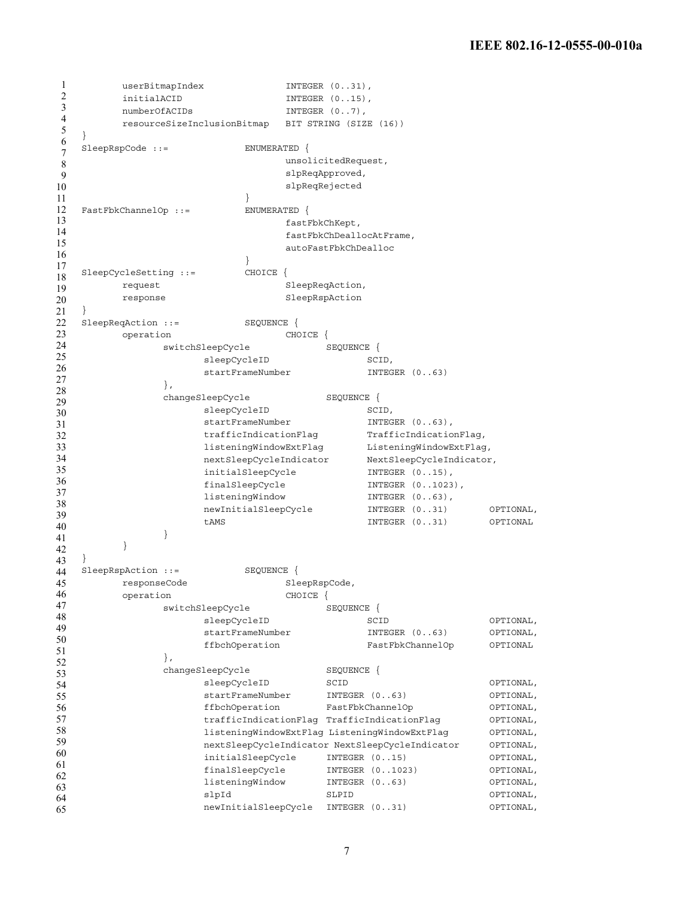1 2 3 4 5 6 7 8 9 10 11 12 13 14 15 16 17 18 19 20 21 22 23 24 25 26 27 28 29 30 31 32 33 34 35 36 37 38 39 40 41 42 43 44 45 46 47 48 49 50 51 52 53 54 55 56 57 58 59 60 61 62 63 64 65 userBitmapIndex **INTEGER** (0..31), initialACID INTEGER  $(0..15)$ , numberOfACIDs INTEGER  $(0..7)$ , resourceSizeInclusionBitmap BIT STRING (SIZE (16)) } SleepRspCode ::= ENUMERATED { unsolicitedRequest, slpReqApproved, slpReqRejected } FastFbkChannelOp ::= ENUMERATED { fastFbkChKept, fastFbkChDeallocAtFrame, autoFastFbkChDealloc } SleepCycleSetting ::= CHOICE { request SleepReqAction, response SleepRspAction } SleepReqAction ::= SEQUENCE { operation CHOICE { switchSleepCycle SEQUENCE { sleepCycleID SCID, startFrameNumber INTEGER (0..63) }, changeSleepCycle SEQUENCE { sleepCycleID SCID, startFrameNumber INTEGER (0..63), trafficIndicationFlag TrafficIndicationFlag, listeningWindowExtFlag ListeningWindowExtFlag, nextSleepCycleIndicator NextSleepCycleIndicator, initialSleepCycle INTEGER  $(0..15)$ , finalSleepCycle INTEGER  $(0..1023)$ , listeningWindow INTEGER (0..63), newInitialSleepCycle INTEGER (0..31) OPTIONAL, tAMS INTEGER (0..31) OPTIONAL } } } SleepRspAction ::= SEQUENCE { responseCode SleepRspCode, operation CHOICE { switchSleepCycle SEQUENCE { sleepCycleID SCID SCID OPTIONAL, startFrameNumber INTEGER (0..63) OPTIONAL, ffbchOperation FastFbkChannelOp OPTIONAL }, changeSleepCycle SEQUENCE { sleepCycleID SCID SCID OPTIONAL, startFrameNumber INTEGER (0..63) OPTIONAL, ffbchOperation FastFbkChannelOp OPTIONAL, trafficIndicationFlag TrafficIndicationFlag OPTIONAL, listeningWindowExtFlag ListeningWindowExtFlag OPTIONAL, nextSleepCycleIndicator NextSleepCycleIndicator OPTIONAL, initialSleepCycle INTEGER (0..15) OPTIONAL, finalSleepCycle INTEGER (0..1023) OPTIONAL, listeningWindow INTEGER (0..63) OPTIONAL, slpId SLPID OPTIONAL, newInitialSleepCycle INTEGER (0..31) OPTIONAL,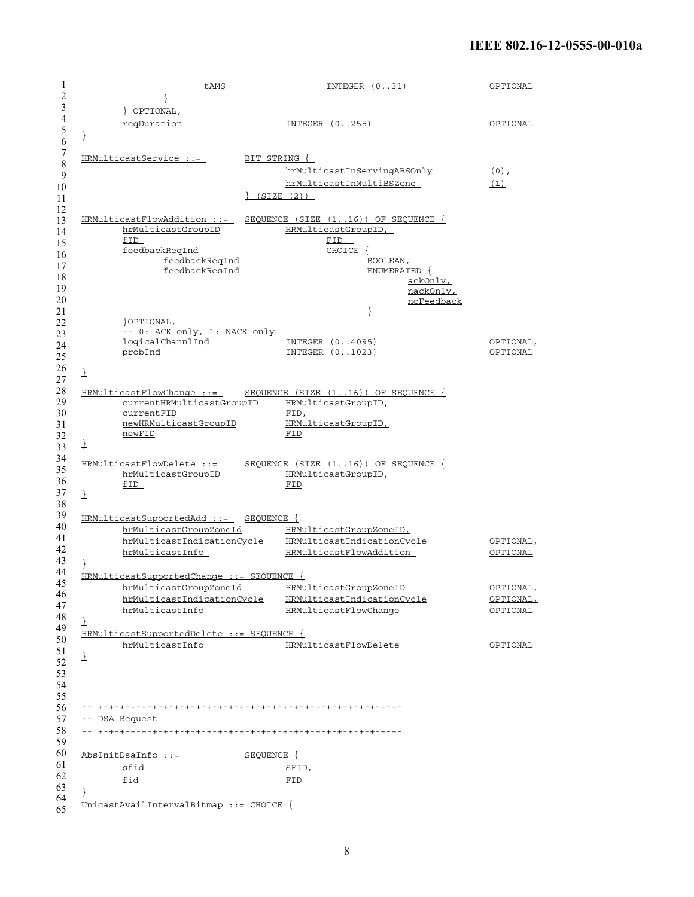1 2 3 4 5 6 7 8 9 10 11 12 13 14 15 16 17 18 19 20 21 22 23 24 25 26 27 28 29 30 31 32 33 34 35 36 37 38 39 40 41 42 43 44 45 46 47 48 49 50 51 52 53 54 55 56 57 58 59 60 61 62 63 64 65 tAMS INTEGER (0..31) OPTIONAL } } OPTIONAL, reqDuration INTEGER (0..255) OPTIONAL } HRMulticastService ::= BIT STRING { hrMulticastInServingABSOnly (0), hrMulticastInMultiBSZone (1) } (SIZE (2)) HRMulticastFlowAddition ::= SEQUENCE (SIZE (1..16)) OF SEQUENCE { hrMulticastGroupID HRMulticastGroupID, f<u>ID</u> FID, feedbackReqInd CHOICE { feedbackReqInd BOOLEAN, feedbackResInd ENUMERATED { ackOnly, nackOnly, noFeedback } }OPTIONAL, -- 0: ACK only, 1: NACK only<br>logicalChannlInd INTEGER (0..4095) OPTIONAL, probInd INTEGER (0..1023) OPTIONAL } HRMulticastFlowChange ::= SEQUENCE (SIZE (1..16)) OF SEQUENCE { currentHRMulticastGroupID HRMulticastGroupID, currentFID FID, newHRMulticastGroupID HRMulticastGroupID, newFID FID } HRMulticastFlowDelete ::= SEQUENCE (SIZE (1..16)) OF SEQUENCE { hrMulticastGroupID HRMulticastGroupID, fID FID  $\downarrow$ HRMulticastSupportedAdd ::= SEQUENCE { hrMulticastGroupZoneId HRMulticastGroupZoneID, hrMulticastIndicationCycle HRMulticastIndicationCycle OPTIONAL, hrMulticastInfo HRMulticastFlowAddition OPTIONAL } HRMulticastSupportedChange ::= SEQUENCE { hrMulticastGroupZoneId HRMulticastGroupZoneID OPTIONAL,<br>hrMulticastIndicationCycle HRMulticastIndicationCycle OPTIONAL, hrMulticastIndicationCycle HRMulticastIndicationCycle OPTIONAL, hrMulticastInfo HRMulticastFlowChange OPTIONAL } HRMulticastSupportedDelete ::= SEQUENCE { hrMulticastInfo HRMulticastFlowDelete OPTIONAL } -- +-+-+-+-+-+-+-+-+-+-+-+-+-+-+-+-+-+-+-+-+-+-+-+-+-+-+-+- -- DSA Request -- +-+-+-+-+-+-+-+-+-+-+-+-+-+-+-+-+-+-+-+-+-+-+-+-+-+-+-+- AbsInitDsaInfo ::= SEQUENCE { sfid SFID, fid FID } UnicastAvailIntervalBitmap ::= CHOICE {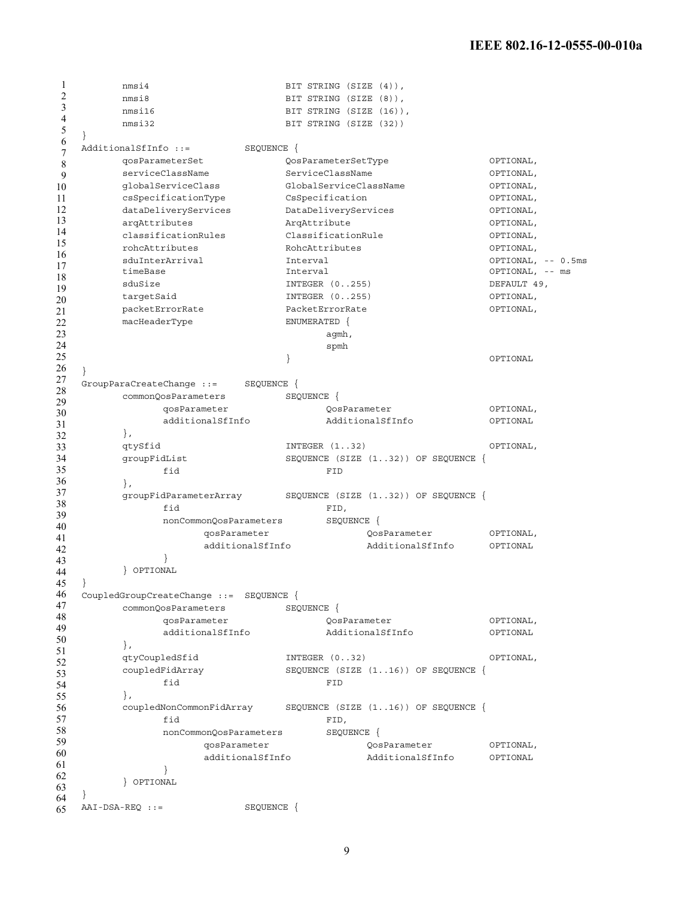```
1
2
3
4
5
6
7
8
9
10
11
12
13
14
15
16
17
18
19
20
21
22
23
24
25
26
27
28
29
30
31
32
33
34
35
36
37
38
39
40
41
42
43
44
45
46
47
48
49
50
51
52
53
54
55
56
57
58
59
60
61
62
63
64
65
       nmsi4 BIT STRING (SIZE (4)),
       nmsi8 BIT STRING (SIZE (8)),
       nmsi16 BIT STRING (SIZE (16)),
       nmsi32 BIT STRING (SIZE (32))
   } 
  AdditionalSfInfo ::= SEQUENCE {
       qosParameterSet QosParameterSetType OPTIONAL, 
       serviceClassName ServiceClassName OPTIONAL, 
       globalServiceClass GlobalServiceClassName OPTIONAL, 
       csSpecificationType CsSpecification OPTIONAL, 
       dataDeliveryServices DataDeliveryServices OPTIONAL, 
      arqAttributes ArqAttribute OPTIONAL, 
      classificationRules ClassificationRule OPTIONAL, 
      rohcAttributes RohcAttributes OPTIONAL, 
      sduInterArrival Interval OPTIONAL, -- 0.5ms
      timeBase Interval OPTIONAL, -- ms 
      sduSize INTEGER (0..255) DEFAULT 49,
      targetSaid INTEGER (0..255) OPTIONAL, 
      packetErrorRate PacketErrorRate OPTIONAL, 
       macHeaderType ENUMERATED {
                                agmh, 
                                spmh 
                           } OPTIONAL
   } 
   GroupParaCreateChange ::= SEQUENCE { 
      commonQosParameters    SEQUENCE {
           qosParameter QosParameter OPTIONAL,
            additionalSfInfo AdditionalSfInfo OPTIONAL 
       }, 
       qtySfid INTEGER (1..32) OPTIONAL, 
       groupFidList SEQUENCE (SIZE (1..32)) OF SEQUENCE { 
           fid FID 
       }, 
       groupFidParameterArray SEQUENCE (SIZE (1..32)) OF SEQUENCE { 
            fid FID, 
            nonCommonQosParameters SEQUENCE { 
                qosParameter QosParameter OPTIONAL, 
                 additionalSfInfo AdditionalSfInfo OPTIONAL 
            } 
        } OPTIONAL
  } 
  CoupledGroupCreateChange ::= SEQUENCE { 
       commonQosParameters SEQUENCE { 
            qosParameter QosParameter OPTIONAL, 
            additionalSfInfo AdditionalSfInfo OPTIONAL 
       }, 
       qtyCoupledSfid INTEGER (0..32) OPTIONAL, 
       coupledFidArray SEQUENCE (SIZE (1..16)) OF SEQUENCE { 
            fid FID 
       }, 
       coupledNonCommonFidArray SEQUENCE (SIZE (1..16)) OF SEQUENCE { 
            fid FID, 
            nonCommonQosParameters SEQUENCE { 
                qosParameter QosParameter OPTIONAL, 
                 additionalSfInfo AdditionalSfInfo OPTIONAL 
            } 
        } OPTIONAL
   } 
  AAI-DSA-REQ ::= SEQUENCE {
```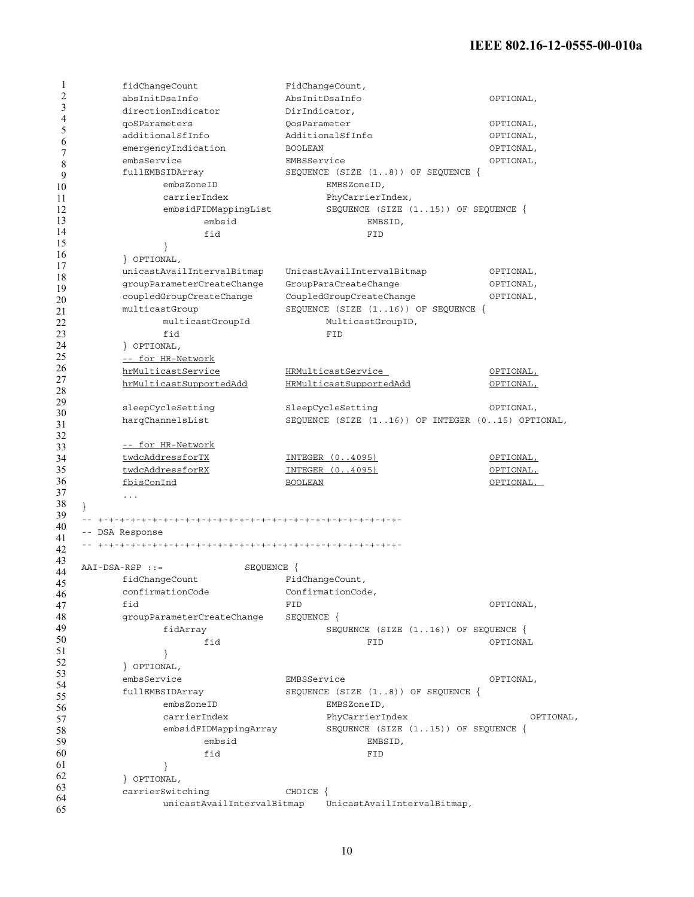| 1              | fidChangeCount                   | FidChangeCount,                                  |           |
|----------------|----------------------------------|--------------------------------------------------|-----------|
| $\overline{2}$ | absInitDsaInfo                   | AbsInitDsaInfo                                   | OPTIONAL, |
| 3              | directionIndicator               | DirIndicator,                                    |           |
| 4              | qoSParameters                    | OosParameter                                     | OPTIONAL, |
| 5              | additionalSfInfo                 | AdditionalSfInfo                                 | OPTIONAL, |
| 6              | emergencyIndication              | <b>BOOLEAN</b>                                   | OPTIONAL, |
| 7              | embsService                      | EMBSService                                      | OPTIONAL, |
| 8<br>9         | fullEMBSIDArray                  | SEQUENCE (SIZE $(18)$ ) OF SEQUENCE {            |           |
| 10             | embsZoneID                       | EMBSZoneID,                                      |           |
| 11             | carrierIndex                     | PhyCarrierIndex,                                 |           |
| 12             | embsidFIDMappingList             | SEQUENCE (SIZE $(115)$ ) OF SEQUENCE {           |           |
| 13             | embsid                           | EMBSID,                                          |           |
| 14             | fid                              | FID                                              |           |
| 15             |                                  |                                                  |           |
| 16             | OPTIONAL,                        |                                                  |           |
| 17             | unicastAvailIntervalBitmap       |                                                  |           |
| 18             |                                  | UnicastAvailIntervalBitmap                       | OPTIONAL, |
| 19             | groupParameterCreateChange       | GroupParaCreateChange                            | OPTIONAL, |
| 20             | coupledGroupCreateChange         | CoupledGroupCreateChange                         | OPTIONAL, |
| 21             | multicastGroup                   | SEQUENCE (SIZE $(116)$ ) OF SEQUENCE {           |           |
| 22             | multicastGroupId                 | MulticastGroupID,                                |           |
| 23             | fid                              | FID                                              |           |
| 24             | } OPTIONAL,                      |                                                  |           |
| 25             | -- for HR-Network                |                                                  |           |
| 26<br>27       | hrMulticastService               | HRMulticastService                               | OPTIONAL, |
| 28             | hrMulticastSupportedAdd          | HRMulticastSupportedAdd                          | OPTIONAL, |
| 29             |                                  |                                                  |           |
| 30             | sleepCycleSetting                | SleepCycleSetting                                | OPTIONAL, |
| 31             | harqChannelsList                 | SEQUENCE (SIZE (116)) OF INTEGER (015) OPTIONAL, |           |
| 32             |                                  |                                                  |           |
| 33             | -- for HR-Network                |                                                  |           |
| 34             | twdcAddressforTX                 | INTEGER (04095)                                  | OPTIONAL, |
| 35             | twdcAddressforRX                 | INTEGER (04095)                                  | OPTIONAL, |
| 36             | fbisConInd                       | <b>BOOLEAN</b>                                   | OPTIONAL, |
| 37<br>38       | $\sim$ $\sim$ $\sim$             |                                                  |           |
| 39             | $\}$                             |                                                  |           |
| 40             |                                  |                                                  |           |
| 41             | -- DSA Response                  |                                                  |           |
| 42             |                                  |                                                  |           |
| 43             | $AAI-DSA-RSP :: =$<br>SEQUENCE { |                                                  |           |
| 44             | fidChangeCount                   | FidChangeCount,                                  |           |
| 45             | confirmationCode                 | ConfirmationCode,                                |           |
| 46<br>47       | fid                              | FID                                              | OPTIONAL, |
| 48             | groupParameterCreateChange       | SEQUENCE {                                       |           |
| 49             | fidArray                         | SEQUENCE $(SIZE (116))$ OF SEQUENCE $\{$         |           |
| 50             | fid                              | FID                                              | OPTIONAL  |
| 51             |                                  |                                                  |           |
| 52             | OPTIONAL,                        |                                                  |           |
| 53             | embsService                      | EMBSService                                      | OPTIONAL, |
| 54             | fullEMBSIDArray                  | SEQUENCE (SIZE (18)) OF SEQUENCE {               |           |
| 55             | embsZoneID                       | EMBSZoneID,                                      |           |
| 56             | carrierIndex                     | PhyCarrierIndex                                  | OPTIONAL, |
| 57             |                                  | SEQUENCE (SIZE $(115)$ ) OF SEQUENCE {           |           |
| 58             | embsidFIDMappingArray            |                                                  |           |
| 59<br>60       | embsid                           | EMBSID,                                          |           |
| 61             | fid                              | FID                                              |           |
| 62             | $\}$                             |                                                  |           |
| 63             | POPTIONAL,                       |                                                  |           |
| 64             | carrierSwitching                 | CHOICE {                                         |           |
| 65             | unicastAvailIntervalBitmap       | UnicastAvailIntervalBitmap,                      |           |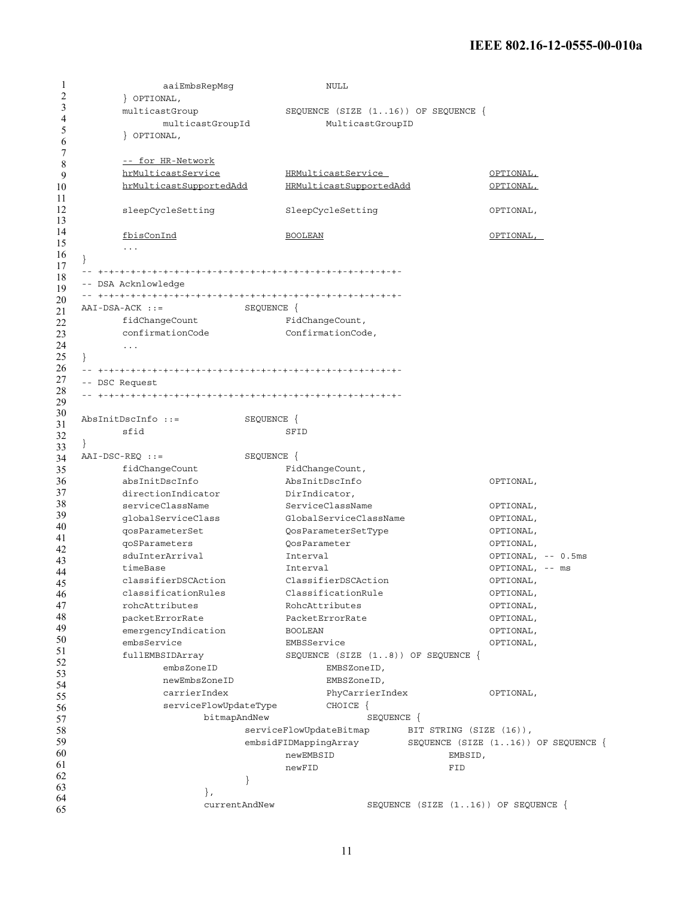1 2 3 4 5 6 7 8 9 10 11 12 13 14 15 16 17 18 19 20 21 22 23 24 25 26 27 28 29 30 31 32 33 34 35 36 37 38 39 40 41 42 43 44 45 46 47 48 49 50 51 52 53 54 55 56 57 58 59 60 61 62 63 64 65 aaiEmbsRepMsg NULL } OPTIONAL, multicastGroup SEQUENCE (SIZE (1..16)) OF SEQUENCE { multicastGroupId MulticastGroupID } OPTIONAL, -- for HR-Network hrMulticastService HRMulticastService OPTIONAL, hrMulticastSupportedAdd HRMulticastSupportedAdd OPTIONAL, sleepCycleSetting SleepCycleSetting OPTIONAL, fbisConInd BOOLEAN OPTIONAL, ... } -- +-+-+-+-+-+-+-+-+-+-+-+-+-+-+-+-+-+-+-+-+-+-+-+-+-+-+-+- -- DSA Acknlowledge -- +-+-+-+-+-+-+-+-+-+-+-+-+-+-+-+-+-+-+-+-+-+-+-+-+-+-+-+- AAI-DSA-ACK ::= SEQUENCE { fidChangeCount FidChangeCount, confirmationCode ConfirmationCode, ... } -- +-+-+-+-+-+-+-+-+-+-+-+-+-+-+-+-+-+-+-+-+-+-+-+-+-+-+-+- -- DSC Request -- +-+-+-+-+-+-+-+-+-+-+-+-+-+-+-+-+-+-+-+-+-+-+-+-+-+-+-+- AbsInitDscInfo ::= SEQUENCE { sfid SFID } AAI-DSC-REQ ::= SEQUENCE { fidChangeCount FidChangeCount, absInitDscInfo AbsInitDscInfo OPTIONAL, directionIndicator DirIndicator, serviceClassName ServiceClassName ServiceClassName OPTIONAL, globalServiceClass GlobalServiceClassName OPTIONAL, qosParameterSet QosParameterSetType OPTIONAL, qoSParameters QosParameter OPTIONAL, sduInterArrival Interval OPTIONAL, -- 0.5ms timeBase Interval OPTIONAL, -- ms classifierDSCAction ClassifierDSCAction OPTIONAL, classificationRules ClassificationRule OPTIONAL, rohcAttributes RohcAttributes OPTIONAL, packetErrorRate PacketErrorRate OPTIONAL, emergencyIndication BOOLEAN BOOLEAN CPTIONAL, embsService EMBSService OPTIONAL, fullEMBSIDArray SEQUENCE (SIZE (1..8)) OF SEQUENCE { embsZoneID EMBSZoneID, newEmbsZoneID EMBSZoneID, carrierIndex PhyCarrierIndex OPTIONAL, serviceFlowUpdateType CHOICE { bitmapAndNew SEQUENCE { serviceFlowUpdateBitmap BIT STRING (SIZE (16)), embsidFIDMappingArray SEQUENCE (SIZE (1..16)) OF SEQUENCE { newEMBSID EMBSID, newFID FID } }, currentAndNew SEQUENCE (SIZE (1..16)) OF SEQUENCE {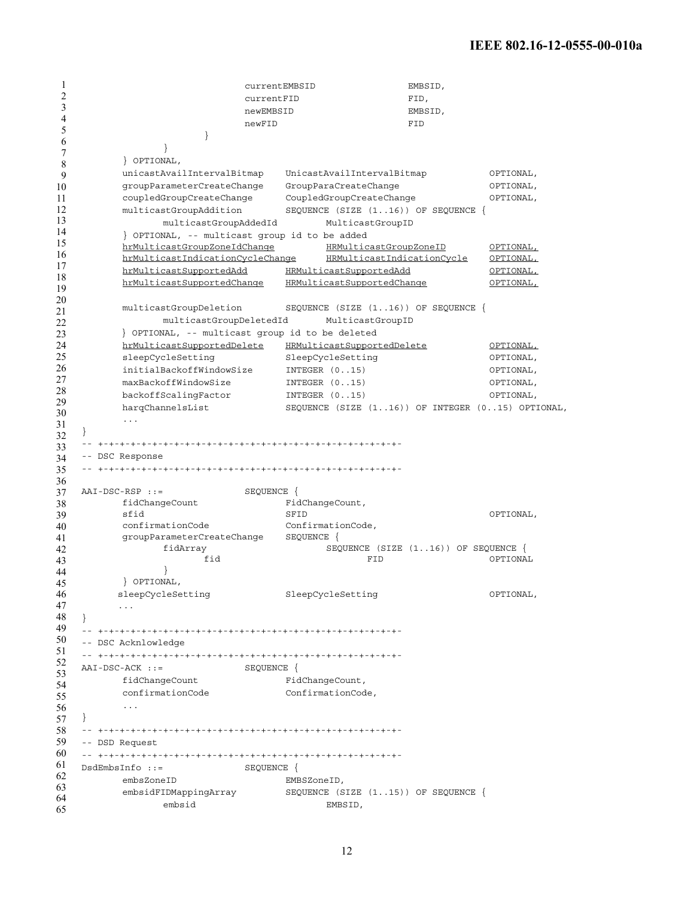1 2 3 4 5 6 7 8 9 10 11 12 13 14 15 16 17 18 19 20 21 22 23 24 25 26 27 28 29 30 31 32 33 34 35 36 37 38 39 40 41 42 43 44 45 46 47 48 49 50 51 52 53 54 55 56 57 58 59 60 61 62 63 64 65 currentEMBSID EMBSID, currentFID FID, newEMBSID **EMBSID** newFID FID } } } OPTIONAL, unicastAvailIntervalBitmap UnicastAvailIntervalBitmap OPTIONAL, groupParameterCreateChange GroupParaCreateChange OPTIONAL, coupledGroupCreateChange CoupledGroupCreateChange OPTIONAL, multicastGroupAddition SEQUENCE (SIZE (1..16)) OF SEQUENCE { multicastGroupAddedId MulticastGroupID } OPTIONAL, -- multicast group id to be added hrMulticastGroupZoneIdChange HRMulticastGroupZoneID OPTIONAL, hrMulticastIndicationCycleChange HRMulticastIndicationCycle OPTIONAL, hrMulticastSupportedAdd HRMulticastSupportedAdd OPTIONAL, hrMulticastSupportedChange HRMulticastSupportedChange OPTIONAL, multicastGroupDeletion SEQUENCE (SIZE (1..16)) OF SEQUENCE { multicastGroupDeletedId MulticastGroupID } OPTIONAL, -- multicast group id to be deleted hrMulticastSupportedDelete HRMulticastSupportedDelete OPTIONAL, sleepCycleSetting SleepCycleSetting SleepCycleSetting OPTIONAL, initialBackoffWindowSize INTEGER (0..15) OPTIONAL, maxBackoffWindowSize INTEGER (0..15) OPTIONAL, backoffScalingFactor INTEGER (0..15) OPTIONAL, harqChannelsList SEQUENCE (SIZE (1..16)) OF INTEGER (0..15) OPTIONAL, ... } -- +-+-+-+-+-+-+-+-+-+-+-+-+-+-+-+-+-+-+-+-+-+-+-+-+-+-+-+- -- DSC Response -- +-+-+-+-+-+-+-+-+-+-+-+-+-+-+-+-+-+-+-+-+-+-+-+-+-+-+-+- AAI-DSC-RSP ::= SEQUENCE { fidChangeCount FidChangeCount, sfid SFID OPTIONAL, confirmationCode ConfirmationCode, groupParameterCreateChange SEQUENCE { fidArray SEQUENCE (SIZE (1..16)) OF SEQUENCE { fid FID OPTIONAL } } OPTIONAL, sleepCycleSetting SleepCycleSetting OPTIONAL, ... } -- +-+-+-+-+-+-+-+-+-+-+-+-+-+-+-+-+-+-+-+-+-+-+-+-+-+-+-+- -- DSC Acknlowledge -- +-+-+-+-+-+-+-+-+-+-+-+-+-+-+-+-+-+-+-+-+-+-+-+-+-+-+-+- AAI-DSC-ACK ::= SEQUENCE { fidChangeCount FidChangeCount, confirmationCode ConfirmationCode, ... } -- +-+-+-+-+-+-+-+-+-+-+-+-+-+-+-+-+-+-+-+-+-+-+-+-+-+-+-+- -- DSD Request -- +-+-+-+-+-+-+-+-+-+-+-+-+-+-+-+-+-+-+-+-+-+-+-+-+-+-+-+- DsdEmbsInfo ::= SEQUENCE { embsZoneID EMBSZoneID, embsidFIDMappingArray SEQUENCE (SIZE (1..15)) OF SEQUENCE { embsid EMBSID,